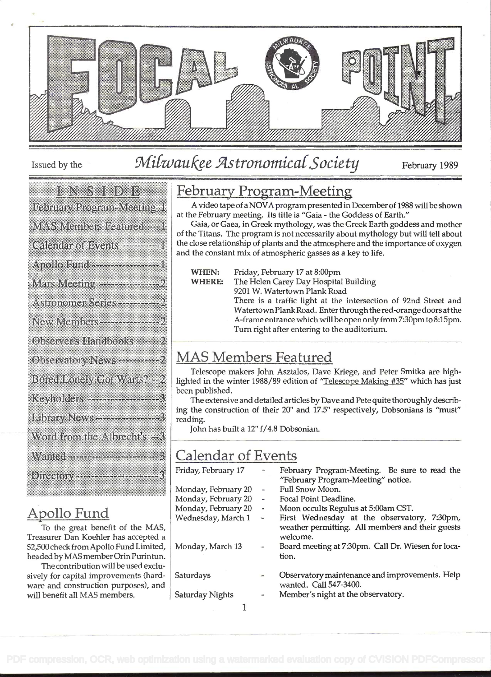

## Issued by the  $Milwau$   $Re$   $Astronomical$   $Society$  February 1989

### 

### 

| 888992811318388889238841888841199918181-8                    |
|--------------------------------------------------------------|
| <b>MAS Members Featured ---</b>                              |
| Calendar of Events - - - - - -                               |
|                                                              |
| Mars Meeting --------------                                  |
| Astronomer Series ---------<br>,,,,,,,,,,,,,,,,,,,,,,,,,,,,, |

|    |  |  |   |  |        |  |  |  | . |  |  |  |  |  |  |  |  |  |  |  |  |
|----|--|--|---|--|--------|--|--|--|---|--|--|--|--|--|--|--|--|--|--|--|--|
|    |  |  |   |  |        |  |  |  |   |  |  |  |  |  |  |  |  |  |  |  |  |
|    |  |  |   |  |        |  |  |  |   |  |  |  |  |  |  |  |  |  |  |  |  |
|    |  |  |   |  |        |  |  |  |   |  |  |  |  |  |  |  |  |  |  |  |  |
| ., |  |  |   |  |        |  |  |  |   |  |  |  |  |  |  |  |  |  |  |  |  |
|    |  |  | . |  | $\sim$ |  |  |  |   |  |  |  |  |  |  |  |  |  |  |  |  |
|    |  |  |   |  |        |  |  |  |   |  |  |  |  |  |  |  |  |  |  |  |  |

|  |  | Observers: Hindbooks |  |  |  |  |  |  |  |  |  |  |  |  |  |  |  |  |  |  |
|--|--|----------------------|--|--|--|--|--|--|--|--|--|--|--|--|--|--|--|--|--|--|
|  |  |                      |  |  |  |  |  |  |  |  |  |  |  |  |  |  |  |  |  |  |
|  |  |                      |  |  |  |  |  |  |  |  |  |  |  |  |  |  |  |  |  |  |
|  |  |                      |  |  |  |  |  |  |  |  |  |  |  |  |  |  |  |  |  |  |
|  |  |                      |  |  |  |  |  |  |  |  |  |  |  |  |  |  |  |  |  |  |
|  |  |                      |  |  |  |  |  |  |  |  |  |  |  |  |  |  |  |  |  |  |

| Oixerendrynterre |  |  |
|------------------|--|--|
|                  |  |  |

| Bored Londiy Goi Warts? - 2                                                                                    |  |
|----------------------------------------------------------------------------------------------------------------|--|
| Keyholders ------------------3                                                                                 |  |
| Library News---------------3                                                                                   |  |
| Word from the Albrecht's $-3$                                                                                  |  |
| Wanted Street, Street, Street, Street, Street, Street, Street, Street, Street, Street, Street, Street, Street, |  |
| <b>Directory Contract Contract of the Contract of Security</b>                                                 |  |

## Apollo Fund

To the great benefit of the MAS, Treasurer Dan Koehier has accepted a \$2,500 check from Apollo Fund Limited, headed by MAS member Orin Purintun.

The contribution will be used exclusively for capital improvements (hardware and construction purposes), and will benefit all MAS members.

## February Program-Meeting

A video tape of aNOVAprogrampresented in Decemberof 1988 will be shown at the February meeting. Its title is "Gaia - the Goddess of Earth."

Gaia, or Gaea, in Greek mythology, was the Greek Earth goddess and mother of the Titans. The program is not necessarily about mythology but will tell about the close relationship of plants and the atmosphere and the importance of oxygen and the constant mix of atmospheric gasses as a key to life.

WHEN: Friday, February 17 at 8:00pm

WHERE: The Helen Carey Day Hospital Building

9201 W. Watertown Plank Road

There is a traffic light at the intersection of 92nd Street and WatertownPlank Road. Enter through the red-orange doors at the A-frame entrance which will be open only from 7:30pm to 8:15pm. Turn right after entering to the auditorium.

## MAS Members Featured

Telescope makers John Asztalos, Dave Kriege, and Peter Smitka are highlighted in the winter 1988/89 edition of "Telescope Making #35" which has just been published.

The extensive and detailed articles by Dave and Pete quite thoroughly describing the construction of their 20" and 17.5" respectively, Dobsonians is "must" reading.

John has built a 12" f/4.8 Dobsonian.

## Calendar of Events

| Friday, February 17 |                         | February Program-Meeting. Be sure to read the                                                               |
|---------------------|-------------------------|-------------------------------------------------------------------------------------------------------------|
|                     |                         | "February Program-Meeting" notice.                                                                          |
| Monday, February 20 | w,                      | Full Snow Moon.                                                                                             |
| Monday, February 20 | -                       | Focal Point Deadline.                                                                                       |
| Monday, February 20 | $\overline{a}$          | Moon occults Regulus at 5:00am CST.                                                                         |
| Wednesday, March 1  | $\mathbf{u}_\mathbf{r}$ | First Wednesday at the observatory, 7:30pm,<br>weather permitting. All members and their guests<br>welcome. |
| Monday, March 13    |                         | Board meeting at 7:30pm. Call Dr. Wiesen for loca-<br>tion.                                                 |
| Saturdays           |                         | Observatory maintenance and improvements. Help<br>wanted. Call 547-3400.                                    |
| Saturday Nights     |                         | Member's night at the observatory.                                                                          |
|                     |                         |                                                                                                             |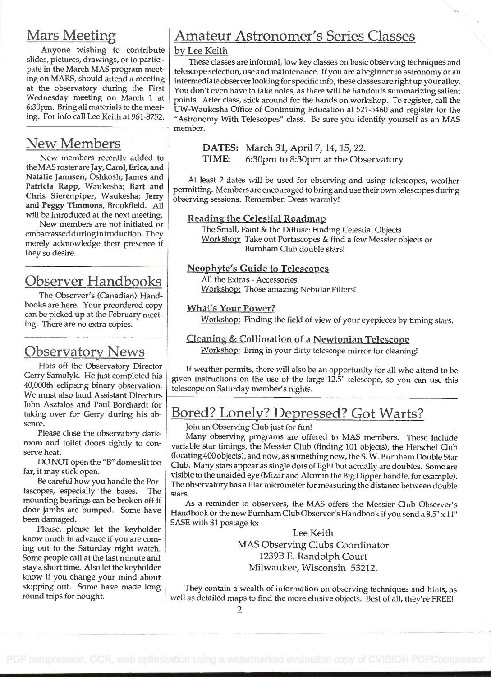## Mars Meetin

Anyone wishing to contribute slides, pictures, drawings, or to participate in the March MAS program meeting on MARS, should attend a meeting at the observatory during the First Wednesday meeting on March 1 at 6:30pm. Bring all materials to the meeting. For info call Lee Keith at 961-8752.

## New Members

New members recently added to the MAS roster are Jay, Carol, Erica, and Natalie Jannsen, Oshkosh; James and Patricia Rapp, Waukesha; Bart and Chris Sierenpiper, Waukesha; Jerry and Peggy Timmons, Brookfield. All will be introduced at the next meeting.

New members are not initiated or embarrassed duringintroduction. They merely acknowledge their presence if they so desire..

## Observer Handbooks

The Observer's (Canadian) Handbooks are here. Your preordered copy can be picked up at the February meeting. There are no extra copies.

## Observatory News

Hats off the Observatory Director Gerry Samolyk. He just completed his 40,000th eclipsing binary observation. We must also laud Assistant Directors John Asztalos and Paul Borchardt for taking over for Gerry during his absence.

Please close the observatory darkroom and toilet doors tightly to conserve heat.

DO NOT open the "B" dome slit too far, it may stick open.

Be careful how you handle the Portascopes, especially the bases. The mounting bearings can be broken off if door jambs are bumped. Some have been damaged.

Please, please let the keyholder know much in advance if you are coming out to the Saturday night watch. Sorne people call at the last minute and stay a short time. Also let the keyholder know if you change your mind about stopping out. Some have made long round trips for nought.

## Amateur Astronomer's Series Classes

#### by Lee Keith

These classes are informal, low key classes on basic observing techniques and telescope selection, use and maintenance. If you are a beginner to astronomy or an intermediate observer looking for specific info, these classes are right up your alley. You don't even have to take notes, as there will be handouts summarizing salient points. After class, stick around for the hands on workshop. To register, call the UW-Waukesha Office of Continuing Education at 521-5460 and register for the "Astronomy With Telescopes" class. Be sure you identify yourself as an MAS member.

DATES: March 31, April 7, 14, 15, 22. TIME: 6:30pm to 8:30pm at the Observatory

At least 2 dates will be used for observing and using telescopes, weather permitting. Members are encouraged to bring and use their own telescopes during observing sessions. Remember: Dress warmly!

#### Reading the Celestial Roadmap

The Small, Faint & the Diffuse: Finding Celestial Objects Workshop: Take out Portascopes & find a few Messier objects or Burnham Club double stars!

#### Neophyte's Guide to Telescopes

All the Extras - Accessories Workshop: Those amazing Nebular Filters!

#### What's Your Power?

Workshop: Finding the field of view of your eyepieces by timing stars.

#### Cleaning & Collimation of a Newtonian Telescope

Workshop: Bring in your dirty telescope mirror for cleaning!

If weather permits, there will also be an opportunity for all who attend to be given instructions on the use of the large 12.5" telescope, so you can use this telescope on Saturday member's nights.

## Bored? Lonely? Depressed? Got Warts?

Join an Observing Club just for fun!

Many observing programs are offered to MAS members. These include variable star timings, the Messier Club (finding 101 objects), the Herschel Club (locating 400 objects), and now, as something new, the S. W. Burnham Double Star Club. Many stars appear as single dots of light but actually are doubles. Some are visible to the unaided eye (Mizar and Alcor in the Big Dipper handle, for example). The observatory has a filar micrometer for measuring the distance between double stars.

As a reminder to observers, the MAS offers the Messier Club Observer's Handbook or the new Burnham Club Observer's Handbook if you send a 8.5" x II" SASE with \$1 postage to:

> Lee Keith MAS Observing Clubs Coordinator 1239B E. Randolph Court Milwaukee, Wisconsin 53212.

They contain a wealth of information on observing techniques and hints, as well as detailed maps to find the more elusive objects. Best of all, they're FREE!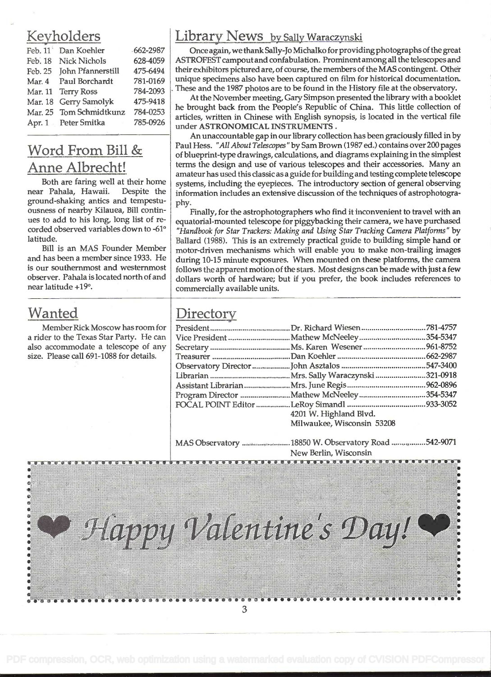|         | Feb. 11 Dan Koehler     | $-662 - 2987$ |
|---------|-------------------------|---------------|
| Feb. 18 | <b>Nick Nichols</b>     | 628-4059      |
| Feb. 25 | John Pfannerstill       | 475-6494      |
|         | Mar. 4 Paul Borchardt   | 781-0169      |
|         | Mar. 11 Terry Ross      | 784-2093      |
|         | Mar. 18 Gerry Samolyk   | 475-9418      |
|         | Mar. 25 Tom Schmidtkunz | 784-0253      |
|         | Apr. 1 Peter Smitka     | 785-0926      |
|         |                         |               |

ground-shaking antics and tempestu-<br>ousness of nearby Kilauea, Bill contin-

## Wanted

Member Rick Moscow has room for a rider to the Texas Star Party. He can also accommodate a telescope of any size. Please call 691-1088 for details.

## Keyholders Library News by Sally Waraczynski

Once again, we thank Sally-Jo Michalko for providing photographs of the great 9 ASTROFEST campout and confabulation. Prominent among all the telescopes and  $4$   $\parallel$  their exhibitors pictured are, of course, the members of the MAS contingent. Other q | unique specimens also have been captured on film for historical documentation.  $\frac{1}{3}$ . These and the 1987 photos are to be found in the History file at the observatory.

At the November meeting, Gary Simpson presented the library with a booklet  $\frac{1}{3}$  | he brought back from the People's Republic of China. This little collection of articles, written in Chinese with English synopsis, is located in the vertical file  $6$  under ASTRONOMICAL INSTRUMENTS.

An unaccountable gap in our library collection has been graciously filled in by  $\text{Word From Bill} \& \text{Paul Hess. "All About Telescope" by Sam Brown (1987 ed.) contains over 200 pages of blueprint-type drawings, calculations, and diagrams explaining in the simplest$ Anne Albrecht! terms the design and use of various telescopes and their accessories. Many and amateur has used this classic as a guide for building and testing complete telescope Both are faring well at their home systems, including the eyepieces. The introductory section of general observing<br>near Pahala, Hawaii. Despite the information includes an extensive discussion of the techniques of astropho information includes an extensive discussion of the techniques of astrophotogra-

ousness of nearby Kilauea, Bill contin-<br>ues to add to his long, long list of re-<br>equatorial-mounted telescope for pigovbacking their camera, we have purchased ues to add to his long, long list of re-<br>corded observed variables down to -61°  $\mid$  "Handbook for Star Trackers: Making and Using Star Tracking Camera Platforms" by corded observed variables down to -61° *"Handbook for Star Trackers: Making and Using Star Tracking Camera Platforms"* by<br>Ballard (1988) This is an extremely practical quide to building simple band or ude.<br>Bill is an MAS Founder Member spallard (1988). This is an extremely practical guide to building simple hand or Bill is an MAS Founder Member motor-driven mechanisms which will enable you to make non-trailing images<br>and has been a member since 1933. He during 10-15 minute exposures. When mounted on these platforms, the camera and has been a member since 1933. He during 10-15 minute exposures. When mounted on these platforms, the camera<br>is our southernmost and westernmost  $\epsilon$  follows the apparent motion of the stars. Most designs can be made w is our southernmost and westernmost follows the apparent motion of the stars. Most designs can be made with just a few<br>observer. Pahala is located north of and dollars worth of bardware; but if you prefer, the book include observer. Pahala is located north of and dollars worth of hardware; but if you prefer, the book includes references to rear latitude +19°. commercially available units.

## **Directory**

| 4201 W. Highland Blvd.     |  |
|----------------------------|--|
| Milwaukee, Wisconsin 53208 |  |
|                            |  |

MAS Observatory ........................ 18850 W. Observatory Road ................. 542-9071 New Berlin, Wisconsin

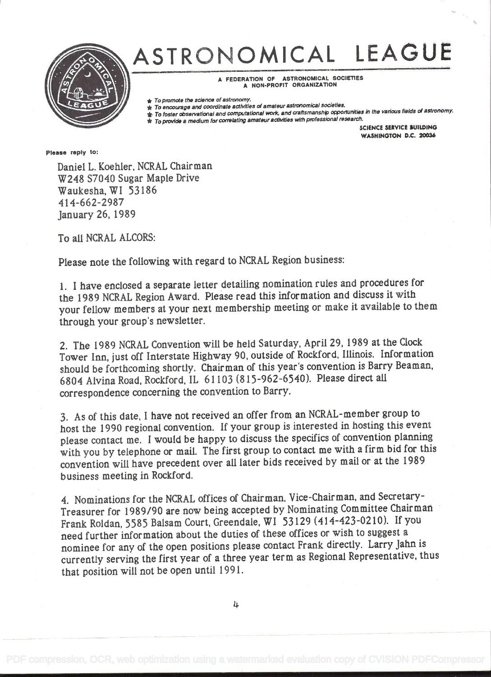

# ASTRONOMICAL LEAGUE

A FEDERATION OF ASTRONOMICAL SOCIETIES A NON-PROFIT ORGANIZATION

★ To promote the science of astronomy.<br>★ To encourage and coordinate activities of amateur astronomical societies.<br>★ To foster observational and computational work, and craftsmanship opportunities in the various fields

\* To provide a medium for correlating amateur acttvities th professional researoh.

SCIENCE SERVICE BUILDING WASHINGTON D.C. 2003ó

Please reply to:

Daniel L. Koehier, NCRAL Chairman W248 S7040 Sugar Maple Drive Waukesha,WI 53186 414-662-2987 January 26, 1989

To all NCRAL ALCORS:

Please note the following with regard to NCRAL Region business:

<sup>I</sup>. I have enclosed a separate letter detailing nomination rules and procedures for the i 989 NCRAL Region Award. Please read this information and discuss it with your fellow members at your next membership meeting or make it available to them through your group's newsletter.

2. The 1989 NCRAL Convention will be held Saturday, April 29, 1989 at the Clock Tower Inn, just off Interstate Highway 90, outside of Rockford, Illinois. Information should be forthcoming shortly. Chairman of this year's convention is Barry Beaman, 6804 Alvina Road, Rockford, IL 61103 (815-962-6540). Please direct all correspondence concerning the convention to Barry.

3. As of this date, I have not received an offer from an NCRAL-member group to host the i 990 regional convention. If your group is interested in hosting this event please contact me. I would be happy to discuss the specifics of convention planning with you by telephone or mail. The first group to contact me with a firm bid for this convention will have precedent over all later bids received by mail or at the i 989 business meeting in Rockford.

4. Nominations for the NCRAL offices of Chairman, Vice-Chairman, and Secretary-Treasurer for 1989/90 are now being accepted by Nominating Committee Chairman Frank Roldan, 5585 Balsam Court, Greendale, WI 53129 (414-423-0210). If you need further information about the duties of these offices or wish to suggest <sup>a</sup> nominee for any of the open positions please contact Frank directly. Larry Jahn is currently serving the first year of a three year term as Regional Representative, thus that position will not be open until 1991.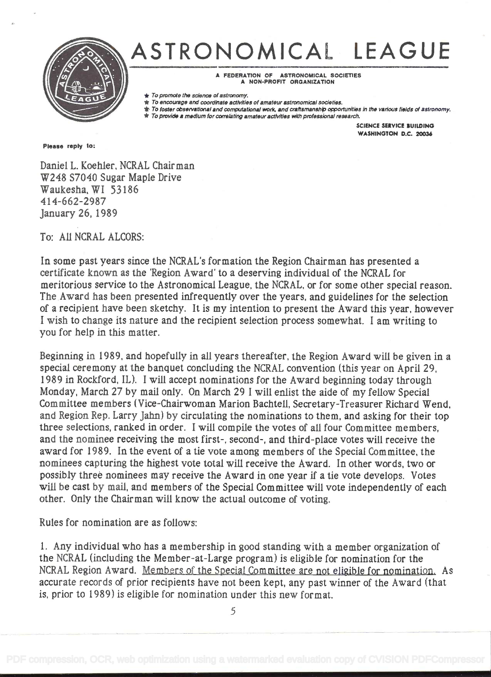

# ASTRONOMICAL LEAGUE

A FEDERATION OF ASTRONOMICAL SOCIETIES A NON-PROFIT ORGANIZATION

- 
- ★ To promote the science of astronomy.<br>★ To encourage and coordinate activities of amateur astronomical societies.<br>★ To foster observational and computational work, and craftsmanship opportunities in the various fields

SCIENCE SERVICE BUILDING WASHINGTON D.C. 20036

Please reply to:

Daniel L. Koehler, NCRAL Chairman W248 S7040 Sugar Maple Drive Waukesha, WI 53186 414-662-2987 January26, 1989

To: All NCRAL ALCORS:

In some past years since the NCRAL's formation the Region Chairman has presented a certificate known as the 'Region Award' to a deserving individual of the NCRAL for meritorious service to the Astronomical League, the NCRAL, or for some other special reason. The Award has been presented infrequently over the years, and guidelines for the selection of a recipient have been sketchy. It is my intention to present the Award this year, however <sup>I</sup>wish to change its nature and the recipient selection process somewhat. I am writing to you for help in this matter.

Beginning in 1989, and hopefully in all years thereafter, the Region Award will be given in a special ceremony at the banquet concluding the NCRAL convention (this year on April 29, 1989 in Rockford, IL). I will accept nominations for the Award beginning today through Monday, March 27 by mail only. On March 29 I will enlist the aide of my fellow Special Committee members (Vice-Chairwoman Marion Bachtell, Secretary-Treasurer Richard Wend, and Region Rep. Larry Jahn) by circulating the nominations to them, and asking for their top three selections, ranked in order. I will compile the votes of all four Committee members, and the nominee receiving the most first-, second-, and third-place votes will receive the award for 1989. In the event of a tie vote among members of the Special Committee, the nominees capturing the highest vote total will receive the Award. In other words, two or possibly three nominees may receive the Award in one year if a tie vote develops. Votes will be cast by mail, and members of the Special Committee will vote independently of each other. Only the Chairman will know the actual outcome of voting.

Rules for nomination are as follows:

<sup>I</sup>. Any individual who has a membership in good standing with a member organization of the NCRAL (including the Member-at-Large program) is eligible for nomination for the NCRAL Region Award. Members of the Special Committee are not eligible for nomination. As accurate records of prior recipients have not been kept, any past winner of the Award (that is, prior to 1 989) is eligible for nomination under this new format.